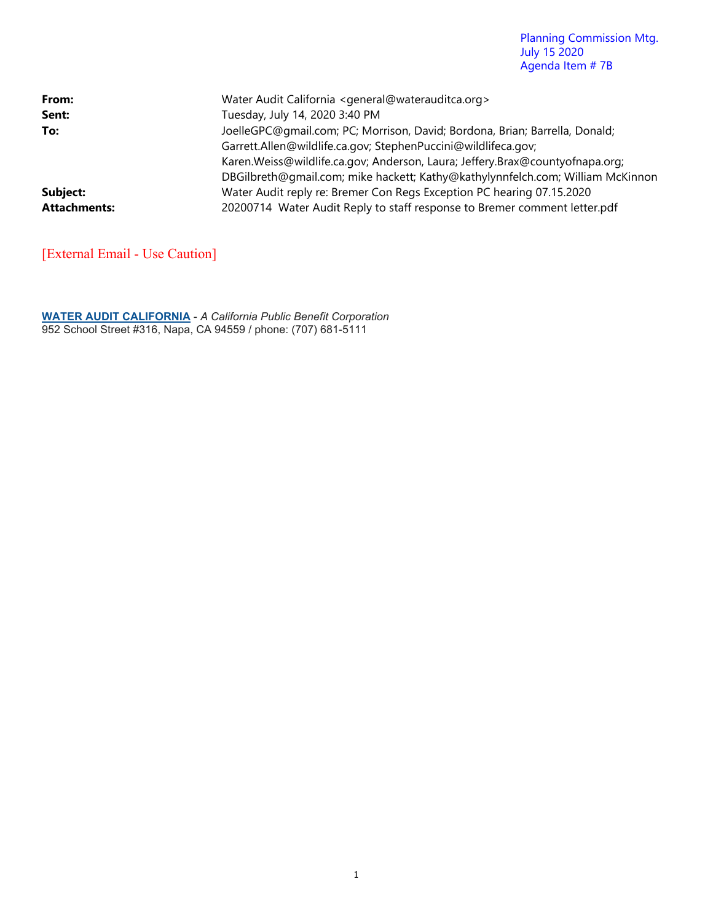#### Planning Commission Mtg. July 15 2020 Agenda Item # 7B

| From:               | Water Audit California <general@waterauditca.org></general@waterauditca.org>   |
|---------------------|--------------------------------------------------------------------------------|
| Sent:               | Tuesday, July 14, 2020 3:40 PM                                                 |
| To:                 | JoelleGPC@gmail.com; PC; Morrison, David; Bordona, Brian; Barrella, Donald;    |
|                     | Garrett.Allen@wildlife.ca.gov; StephenPuccini@wildlifeca.gov;                  |
|                     | Karen. Weiss@wildlife.ca.gov; Anderson, Laura; Jeffery. Brax@countyofnapa.org; |
|                     | DBGilbreth@gmail.com; mike hackett; Kathy@kathylynnfelch.com; William McKinnon |
| Subject:            | Water Audit reply re: Bremer Con Regs Exception PC hearing 07.15.2020          |
| <b>Attachments:</b> | 20200714 Water Audit Reply to staff response to Bremer comment letter.pdf      |

[External Email - Use Caution]

**WATER AUDIT CALIFORNIA** - *A California Public Benefit Corporation* 952 School Street #316, Napa, CA 94559 / phone: (707) 681-5111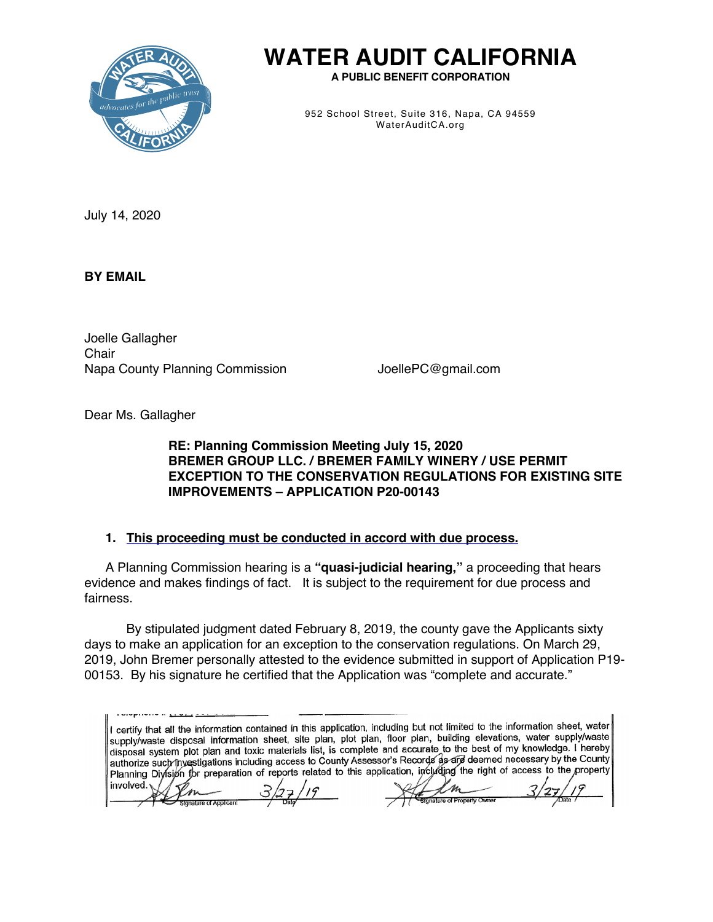

# **WATER AUDIT CALIFORNIA**

**A PUBLIC BENEFIT CORPORATION**

952 School Street, Suite 316, Napa, CA 94559 WaterAuditCA.org

July 14, 2020

**BY EMAIL**

Joelle Gallagher **Chair** Napa County Planning Commission **JoellePC@gmail.com** 

ignature of Applicant

ure of Property Owner

Dear Ms. Gallagher

# **RE: Planning Commission Meeting July 15, 2020 BREMER GROUP LLC. / BREMER FAMILY WINERY / USE PERMIT EXCEPTION TO THE CONSERVATION REGULATIONS FOR EXISTING SITE IMPROVEMENTS – APPLICATION P20-00143**

# **1. This proceeding must be conducted in accord with due process.**

A Planning Commission hearing is a **"quasi-judicial hearing,"** a proceeding that hears evidence and makes findings of fact. It is subject to the requirement for due process and fairness.

By stipulated judgment dated February 8, 2019, the county gave the Applicants sixty days to make an application for an exception to the conservation regulations. On March 29, 2019, John Bremer personally attested to the evidence submitted in support of Application P19- 00153. By his signature he certified that the Application was "complete and accurate."

I certify that all the information contained in this application, including but not limited to the information sheet, water supply/waste disposal information sheet, site plan, plot plan, floor plan, building elevations, water supply/waste disposal system plot plan and toxic materials list, is complete and accurate to the best of my knowledge. I hereby disposal system plot plan and toxic materials list, is complete and accuracy to the boot of my knowledge in County<br>authorize such investigations including access to County Assessor's Records as are deemed necessary by the Planning Division for preparation of reports related to this application, including the right of access to the property involved.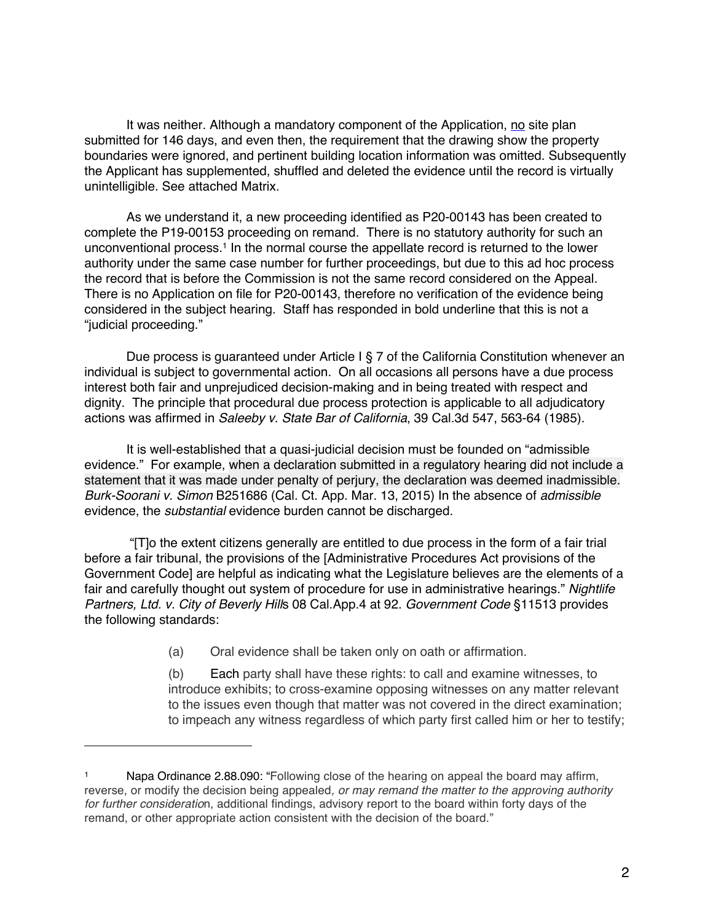It was neither. Although a mandatory component of the Application, no site plan submitted for 146 days, and even then, the requirement that the drawing show the property boundaries were ignored, and pertinent building location information was omitted. Subsequently the Applicant has supplemented, shuffled and deleted the evidence until the record is virtually unintelligible. See attached Matrix.

As we understand it, a new proceeding identified as P20-00143 has been created to complete the P19-00153 proceeding on remand. There is no statutory authority for such an unconventional process.1 In the normal course the appellate record is returned to the lower authority under the same case number for further proceedings, but due to this ad hoc process the record that is before the Commission is not the same record considered on the Appeal. There is no Application on file for P20-00143, therefore no verification of the evidence being considered in the subject hearing. Staff has responded in bold underline that this is not a "judicial proceeding."

Due process is guaranteed under Article I § 7 of the California Constitution whenever an individual is subject to governmental action. On all occasions all persons have a due process interest both fair and unprejudiced decision-making and in being treated with respect and dignity. The principle that procedural due process protection is applicable to all adjudicatory actions was affirmed in *Saleeby v. State Bar of California*, 39 Cal.3d 547, 563-64 (1985).

It is well-established that a quasi-judicial decision must be founded on "admissible evidence." For example, when a declaration submitted in a regulatory hearing did not include a statement that it was made under penalty of perjury, the declaration was deemed inadmissible. *Burk-Soorani v. Simon* B251686 (Cal. Ct. App. Mar. 13, 2015) In the absence of *admissible* evidence, the *substantial* evidence burden cannot be discharged.

"[T]o the extent citizens generally are entitled to due process in the form of a fair trial before a fair tribunal, the provisions of the [Administrative Procedures Act provisions of the Government Code] are helpful as indicating what the Legislature believes are the elements of a fair and carefully thought out system of procedure for use in administrative hearings." *Nightlife Partners, Ltd. v. City of Beverly Hill*s 08 Cal.App.4 at 92. *Government Code* §11513 provides the following standards:

(a) Oral evidence shall be taken only on oath or affirmation.

(b) Each party shall have these rights: to call and examine witnesses, to introduce exhibits; to cross-examine opposing witnesses on any matter relevant to the issues even though that matter was not covered in the direct examination; to impeach any witness regardless of which party first called him or her to testify;

Napa Ordinance 2.88.090: "Following close of the hearing on appeal the board may affirm, reverse, or modify the decision being appealed*, or may remand the matter to the approving authority for further consideratio*n, additional findings, advisory report to the board within forty days of the remand, or other appropriate action consistent with the decision of the board."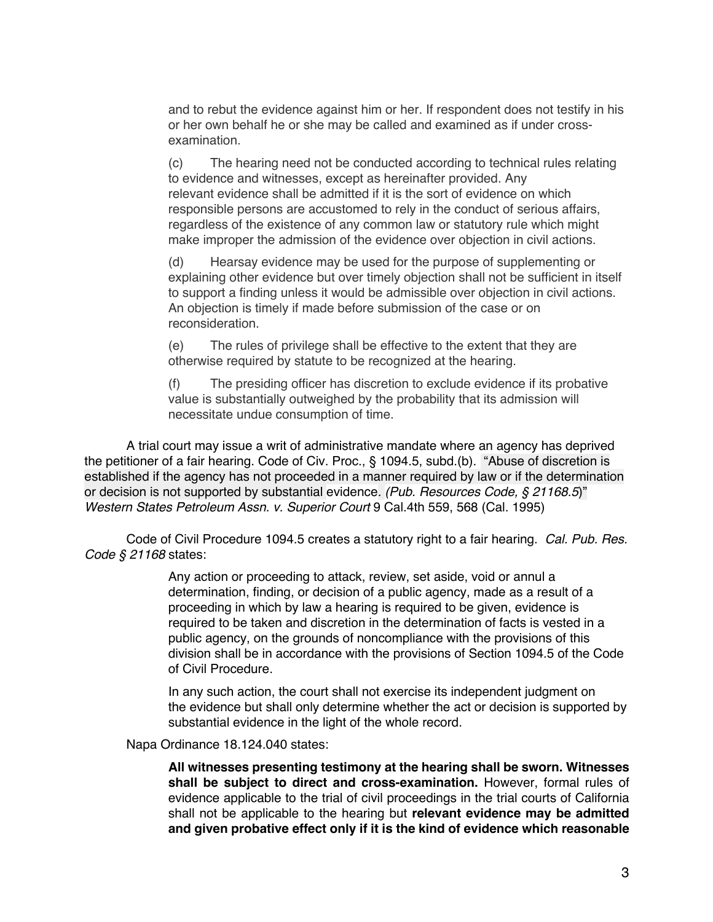and to rebut the evidence against him or her. If respondent does not testify in his or her own behalf he or she may be called and examined as if under crossexamination.

(c) The hearing need not be conducted according to technical rules relating to evidence and witnesses, except as hereinafter provided. Any relevant evidence shall be admitted if it is the sort of evidence on which responsible persons are accustomed to rely in the conduct of serious affairs, regardless of the existence of any common law or statutory rule which might make improper the admission of the evidence over objection in civil actions.

(d) Hearsay evidence may be used for the purpose of supplementing or explaining other evidence but over timely objection shall not be sufficient in itself to support a finding unless it would be admissible over objection in civil actions. An objection is timely if made before submission of the case or on reconsideration.

(e) The rules of privilege shall be effective to the extent that they are otherwise required by statute to be recognized at the hearing.

(f) The presiding officer has discretion to exclude evidence if its probative value is substantially outweighed by the probability that its admission will necessitate undue consumption of time.

A trial court may issue a writ of administrative mandate where an agency has deprived the petitioner of a fair hearing. Code of Civ. Proc., § 1094.5, subd.(b). "Abuse of discretion is established if the agency has not proceeded in a manner required by law or if the determination or decision is not supported by substantial evidence*. (Pub. Resources Code, § 21168.5*)" *Western States Petroleum Assn. v. Superior Court* 9 Cal.4th 559, 568 (Cal. 1995)

Code of Civil Procedure 1094.5 creates a statutory right to a fair hearing. *Cal. Pub. Res. Code § 21168* states:

> Any action or proceeding to attack, review, set aside, void or annul a determination, finding, or decision of a public agency, made as a result of a proceeding in which by law a hearing is required to be given, evidence is required to be taken and discretion in the determination of facts is vested in a public agency, on the grounds of noncompliance with the provisions of this division shall be in accordance with the provisions of Section 1094.5 of the Code of Civil Procedure.

> In any such action, the court shall not exercise its independent judgment on the evidence but shall only determine whether the act or decision is supported by substantial evidence in the light of the whole record.

Napa Ordinance 18.124.040 states:

**All witnesses presenting testimony at the hearing shall be sworn. Witnesses shall be subject to direct and cross-examination.** However, formal rules of evidence applicable to the trial of civil proceedings in the trial courts of California shall not be applicable to the hearing but **relevant evidence may be admitted and given probative effect only if it is the kind of evidence which reasonable**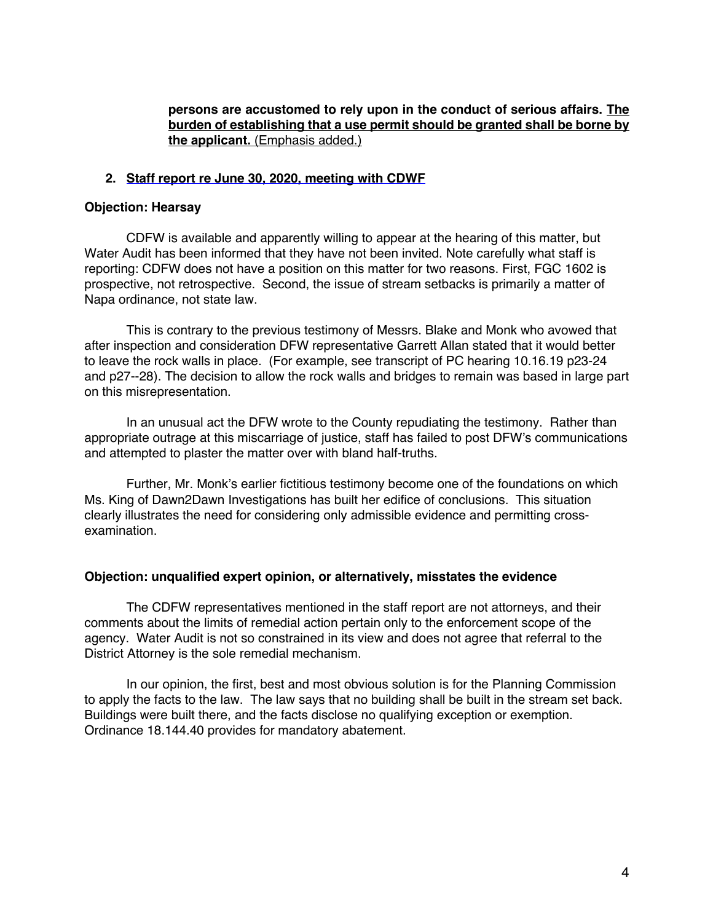**persons are accustomed to rely upon in the conduct of serious affairs. The burden of establishing that a use permit should be granted shall be borne by the applicant.** (Emphasis added.)

### **2. Staff report re June 30, 2020, meeting with CDWF**

#### **Objection: Hearsay**

CDFW is available and apparently willing to appear at the hearing of this matter, but Water Audit has been informed that they have not been invited. Note carefully what staff is reporting: CDFW does not have a position on this matter for two reasons. First, FGC 1602 is prospective, not retrospective. Second, the issue of stream setbacks is primarily a matter of Napa ordinance, not state law.

This is contrary to the previous testimony of Messrs. Blake and Monk who avowed that after inspection and consideration DFW representative Garrett Allan stated that it would better to leave the rock walls in place. (For example, see transcript of PC hearing 10.16.19 p23-24 and p27--28). The decision to allow the rock walls and bridges to remain was based in large part on this misrepresentation.

In an unusual act the DFW wrote to the County repudiating the testimony. Rather than appropriate outrage at this miscarriage of justice, staff has failed to post DFW's communications and attempted to plaster the matter over with bland half-truths.

Further, Mr. Monk's earlier fictitious testimony become one of the foundations on which Ms. King of Dawn2Dawn Investigations has built her edifice of conclusions. This situation clearly illustrates the need for considering only admissible evidence and permitting crossexamination.

#### **Objection: unqualified expert opinion, or alternatively, misstates the evidence**

The CDFW representatives mentioned in the staff report are not attorneys, and their comments about the limits of remedial action pertain only to the enforcement scope of the agency. Water Audit is not so constrained in its view and does not agree that referral to the District Attorney is the sole remedial mechanism.

In our opinion, the first, best and most obvious solution is for the Planning Commission to apply the facts to the law. The law says that no building shall be built in the stream set back. Buildings were built there, and the facts disclose no qualifying exception or exemption. Ordinance 18.144.40 provides for mandatory abatement.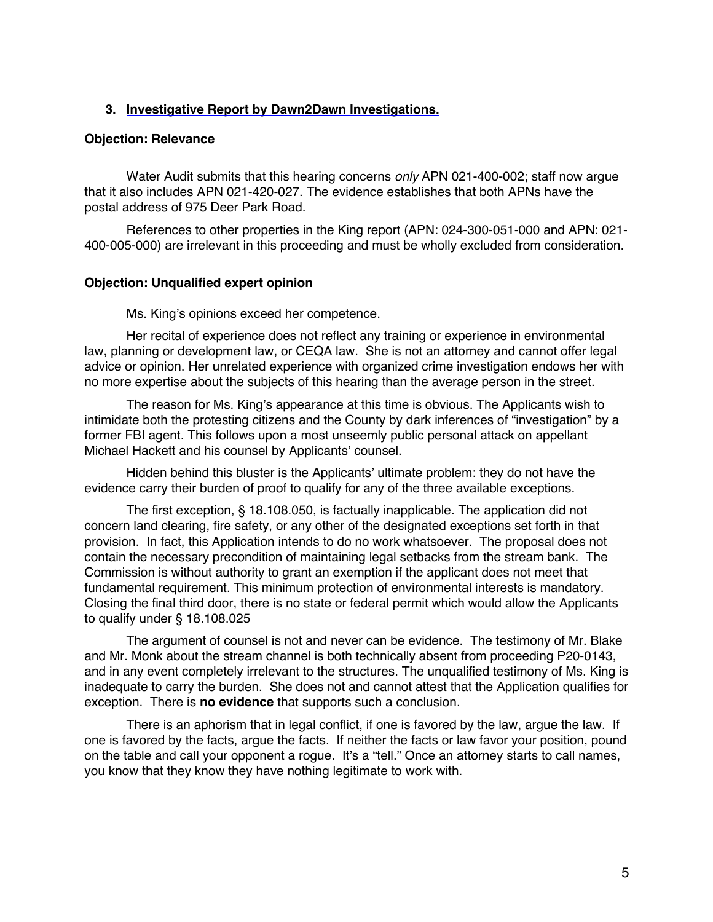# **3. Investigative Report by Dawn2Dawn Investigations.**

#### **Objection: Relevance**

Water Audit submits that this hearing concerns *only* APN 021-400-002; staff now argue that it also includes APN 021-420-027. The evidence establishes that both APNs have the postal address of 975 Deer Park Road.

References to other properties in the King report (APN: 024-300-051-000 and APN: 021- 400-005-000) are irrelevant in this proceeding and must be wholly excluded from consideration.

#### **Objection: Unqualified expert opinion**

Ms. King's opinions exceed her competence.

Her recital of experience does not reflect any training or experience in environmental law, planning or development law, or CEQA law. She is not an attorney and cannot offer legal advice or opinion. Her unrelated experience with organized crime investigation endows her with no more expertise about the subjects of this hearing than the average person in the street.

The reason for Ms. King's appearance at this time is obvious. The Applicants wish to intimidate both the protesting citizens and the County by dark inferences of "investigation" by a former FBI agent. This follows upon a most unseemly public personal attack on appellant Michael Hackett and his counsel by Applicants' counsel.

Hidden behind this bluster is the Applicants' ultimate problem: they do not have the evidence carry their burden of proof to qualify for any of the three available exceptions.

The first exception, § 18.108.050, is factually inapplicable. The application did not concern land clearing, fire safety, or any other of the designated exceptions set forth in that provision. In fact, this Application intends to do no work whatsoever. The proposal does not contain the necessary precondition of maintaining legal setbacks from the stream bank. The Commission is without authority to grant an exemption if the applicant does not meet that fundamental requirement. This minimum protection of environmental interests is mandatory. Closing the final third door, there is no state or federal permit which would allow the Applicants to qualify under § 18.108.025

The argument of counsel is not and never can be evidence. The testimony of Mr. Blake and Mr. Monk about the stream channel is both technically absent from proceeding P20-0143, and in any event completely irrelevant to the structures. The unqualified testimony of Ms. King is inadequate to carry the burden. She does not and cannot attest that the Application qualifies for exception. There is **no evidence** that supports such a conclusion.

There is an aphorism that in legal conflict, if one is favored by the law, argue the law. If one is favored by the facts, argue the facts. If neither the facts or law favor your position, pound on the table and call your opponent a rogue. It's a "tell." Once an attorney starts to call names, you know that they know they have nothing legitimate to work with.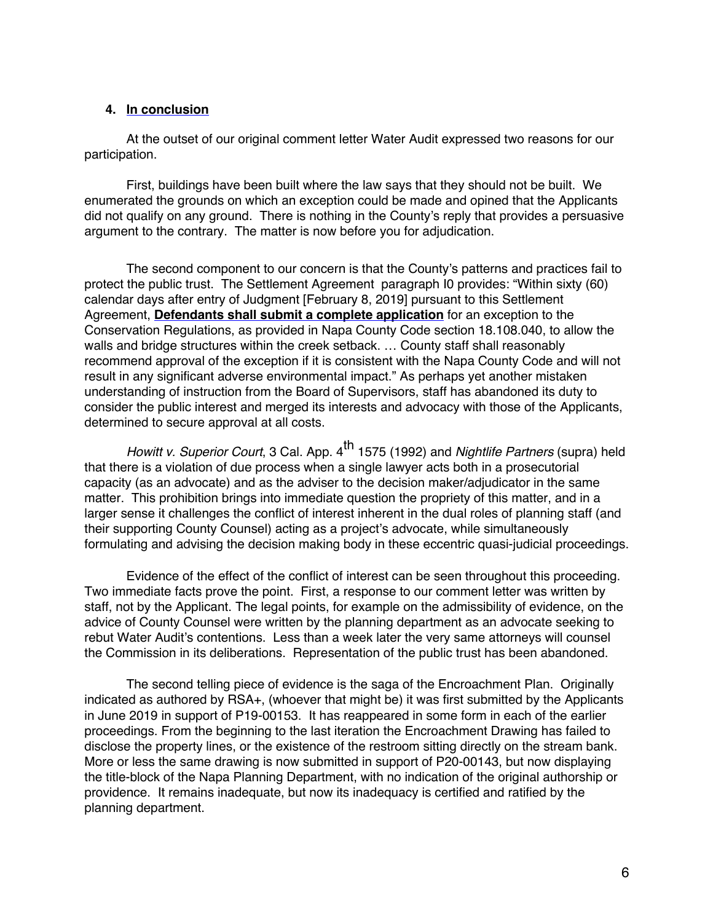### **4. In conclusion**

At the outset of our original comment letter Water Audit expressed two reasons for our participation.

First, buildings have been built where the law says that they should not be built. We enumerated the grounds on which an exception could be made and opined that the Applicants did not qualify on any ground. There is nothing in the County's reply that provides a persuasive argument to the contrary. The matter is now before you for adjudication.

The second component to our concern is that the County's patterns and practices fail to protect the public trust. The Settlement Agreement paragraph I0 provides: "Within sixty (60) calendar days after entry of Judgment [February 8, 2019] pursuant to this Settlement Agreement, **Defendants shall submit a complete application** for an exception to the Conservation Regulations, as provided in Napa County Code section 18.108.040, to allow the walls and bridge structures within the creek setback. … County staff shall reasonably recommend approval of the exception if it is consistent with the Napa County Code and will not result in any significant adverse environmental impact." As perhaps yet another mistaken understanding of instruction from the Board of Supervisors, staff has abandoned its duty to consider the public interest and merged its interests and advocacy with those of the Applicants, determined to secure approval at all costs.

*Howitt v. Superior Court*, 3 Cal. App. 4<sup>th</sup> 1575 (1992) and *Nightlife Partners* (supra) held that there is a violation of due process when a single lawyer acts both in a prosecutorial capacity (as an advocate) and as the adviser to the decision maker/adjudicator in the same matter. This prohibition brings into immediate question the propriety of this matter, and in a larger sense it challenges the conflict of interest inherent in the dual roles of planning staff (and their supporting County Counsel) acting as a project's advocate, while simultaneously formulating and advising the decision making body in these eccentric quasi-judicial proceedings.

Evidence of the effect of the conflict of interest can be seen throughout this proceeding. Two immediate facts prove the point. First, a response to our comment letter was written by staff, not by the Applicant. The legal points, for example on the admissibility of evidence, on the advice of County Counsel were written by the planning department as an advocate seeking to rebut Water Audit's contentions. Less than a week later the very same attorneys will counsel the Commission in its deliberations. Representation of the public trust has been abandoned.

The second telling piece of evidence is the saga of the Encroachment Plan. Originally indicated as authored by RSA+, (whoever that might be) it was first submitted by the Applicants in June 2019 in support of P19-00153. It has reappeared in some form in each of the earlier proceedings. From the beginning to the last iteration the Encroachment Drawing has failed to disclose the property lines, or the existence of the restroom sitting directly on the stream bank. More or less the same drawing is now submitted in support of P20-00143, but now displaying the title-block of the Napa Planning Department, with no indication of the original authorship or providence. It remains inadequate, but now its inadequacy is certified and ratified by the planning department.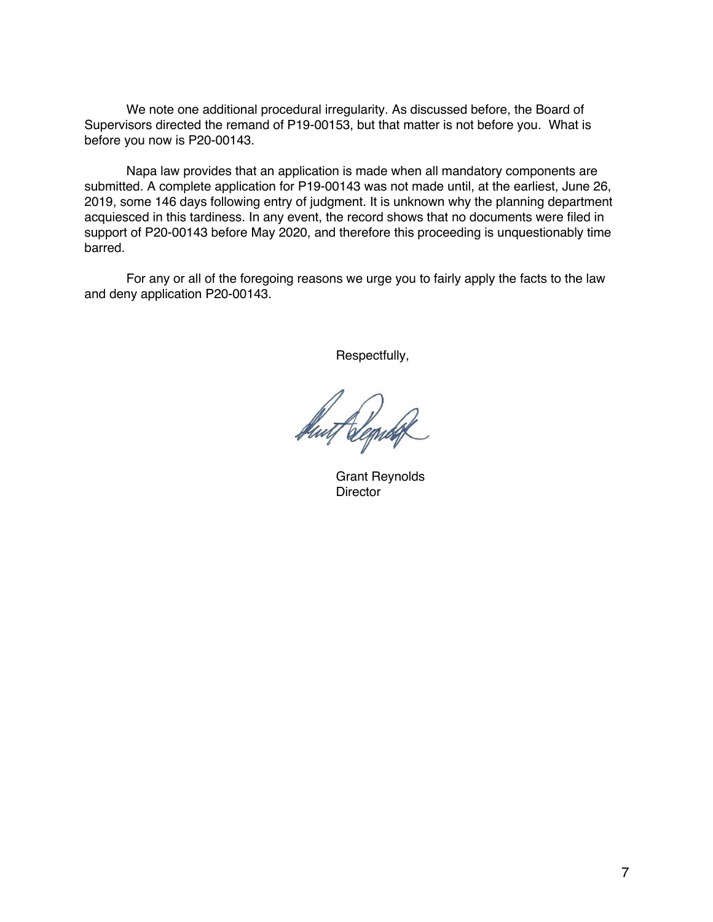We note one additional procedural irregularity. As discussed before, the Board of Supervisors directed the remand of P19-00153, but that matter is not before you. What is before you now is P20-00143.

Napa law provides that an application is made when all mandatory components are submitted. A complete application for P19-00143 was not made until, at the earliest, June 26, 2019, some 146 days following entry of judgment. It is unknown why the planning department acquiesced in this tardiness. In any event, the record shows that no documents were filed in support of P20-00143 before May 2020, and therefore this proceeding is unquestionably time barred.

For any or all of the foregoing reasons we urge you to fairly apply the facts to the law and deny application P20-00143.

Respectfully,

Hut Clegren

Grant Reynolds **Director**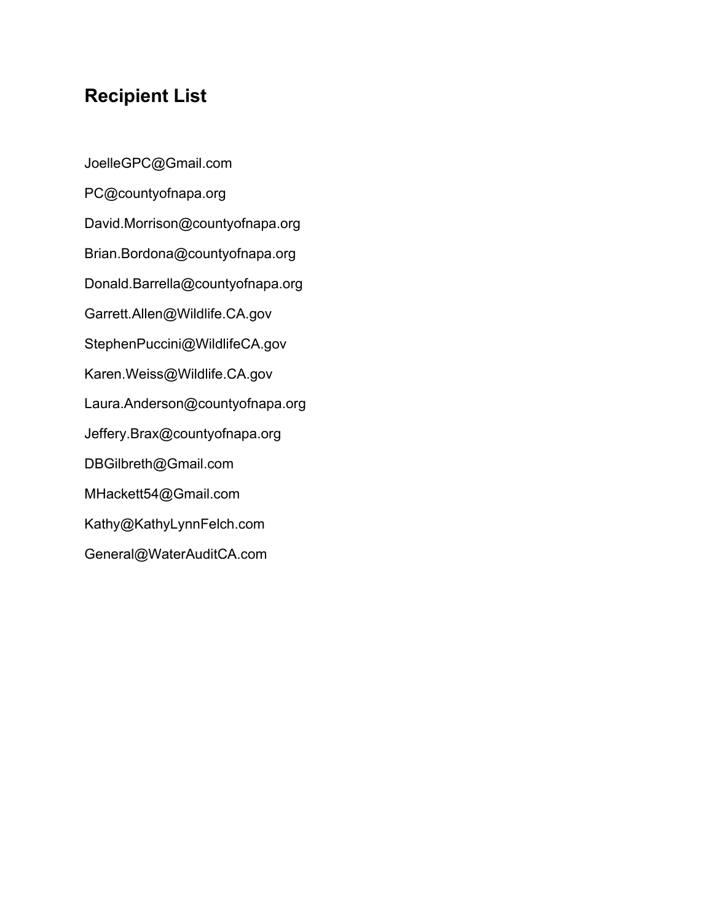# **Recipient List**

JoelleGPC@Gmail.com PC@countyofnapa.org David.Morrison@countyofnapa.org Brian.Bordona@countyofnapa.org Donald.Barrella@countyofnapa.org Garrett.Allen@Wildlife.CA.gov StephenPuccini@WildlifeCA.gov Karen.Weiss@Wildlife.CA.gov Laura.Anderson@countyofnapa.org Jeffery.Brax@countyofnapa.org DBGilbreth@Gmail.com MHackett54@Gmail.com Kathy@KathyLynnFelch.com General@WaterAuditCA.com